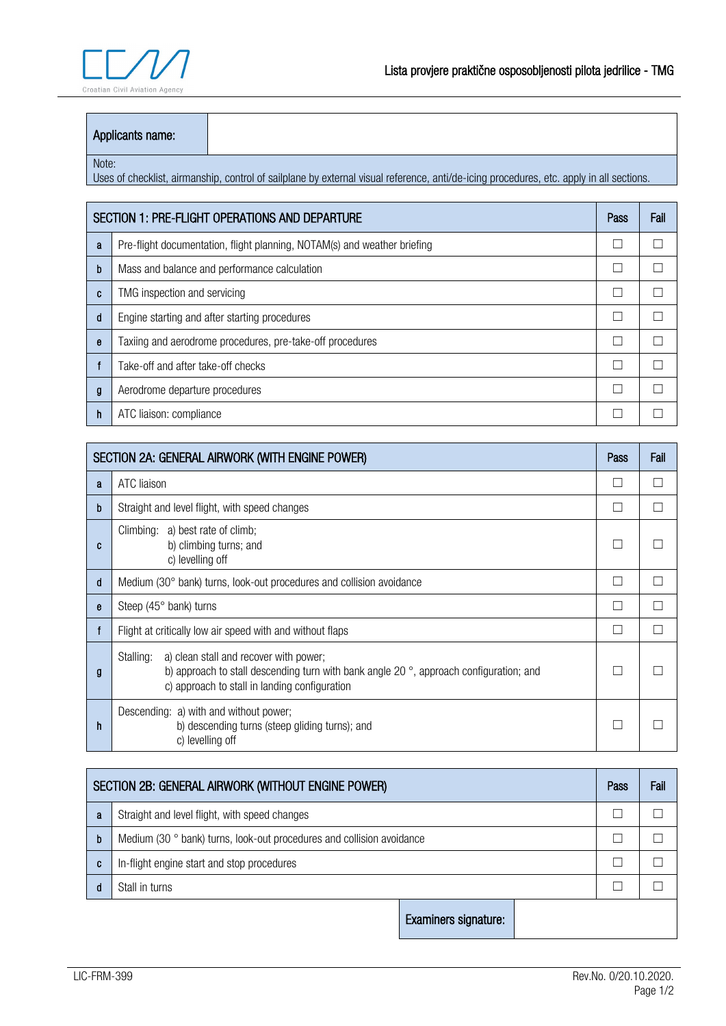

## Applicants name:

## Note:

Uses of checklist, airmanship, control of sailplane by external visual reference, anti/de-icing procedures, etc. apply in all sections.

| SECTION 1: PRE-FLIGHT OPERATIONS AND DEPARTURE |                                                                          |  | Fail |
|------------------------------------------------|--------------------------------------------------------------------------|--|------|
| a                                              | Pre-flight documentation, flight planning, NOTAM(s) and weather briefing |  |      |
| b                                              | Mass and balance and performance calculation                             |  |      |
| C                                              | TMG inspection and servicing                                             |  |      |
| d                                              | Engine starting and after starting procedures                            |  |      |
| e                                              | Taxiing and aerodrome procedures, pre-take-off procedures                |  |      |
|                                                | Take-off and after take-off checks                                       |  |      |
| g                                              | Aerodrome departure procedures                                           |  |      |
|                                                | ATC liaison: compliance                                                  |  |      |

| SECTION 2A: GENERAL AIRWORK (WITH ENGINE POWER) |                                                                                                                                                                                                         |  | Fail |
|-------------------------------------------------|---------------------------------------------------------------------------------------------------------------------------------------------------------------------------------------------------------|--|------|
| a                                               | ATC liaison                                                                                                                                                                                             |  |      |
| b                                               | Straight and level flight, with speed changes                                                                                                                                                           |  |      |
| C                                               | Climbing: a) best rate of climb;<br>b) climbing turns; and<br>c) levelling off                                                                                                                          |  |      |
| d                                               | Medium (30° bank) turns, look-out procedures and collision avoidance                                                                                                                                    |  |      |
| e                                               | Steep $(45^{\circ}$ bank) turns                                                                                                                                                                         |  |      |
|                                                 | Flight at critically low air speed with and without flaps                                                                                                                                               |  |      |
| g                                               | a) clean stall and recover with power;<br>Stalling:<br>b) approach to stall descending turn with bank angle 20 $\degree$ , approach configuration; and<br>c) approach to stall in landing configuration |  |      |
| h                                               | Descending: a) with and without power;<br>b) descending turns (steep gliding turns); and<br>c) levelling off                                                                                            |  |      |

| SECTION 2B: GENERAL AIRWORK (WITHOUT ENGINE POWER) |                                                                       |                      | Pass | Fail |  |
|----------------------------------------------------|-----------------------------------------------------------------------|----------------------|------|------|--|
| a                                                  | Straight and level flight, with speed changes                         |                      |      |      |  |
| b                                                  | Medium (30 ° bank) turns, look-out procedures and collision avoidance |                      |      |      |  |
| C                                                  | In-flight engine start and stop procedures                            |                      |      |      |  |
| d                                                  | Stall in turns                                                        |                      |      |      |  |
|                                                    |                                                                       | Examiners signature: |      |      |  |